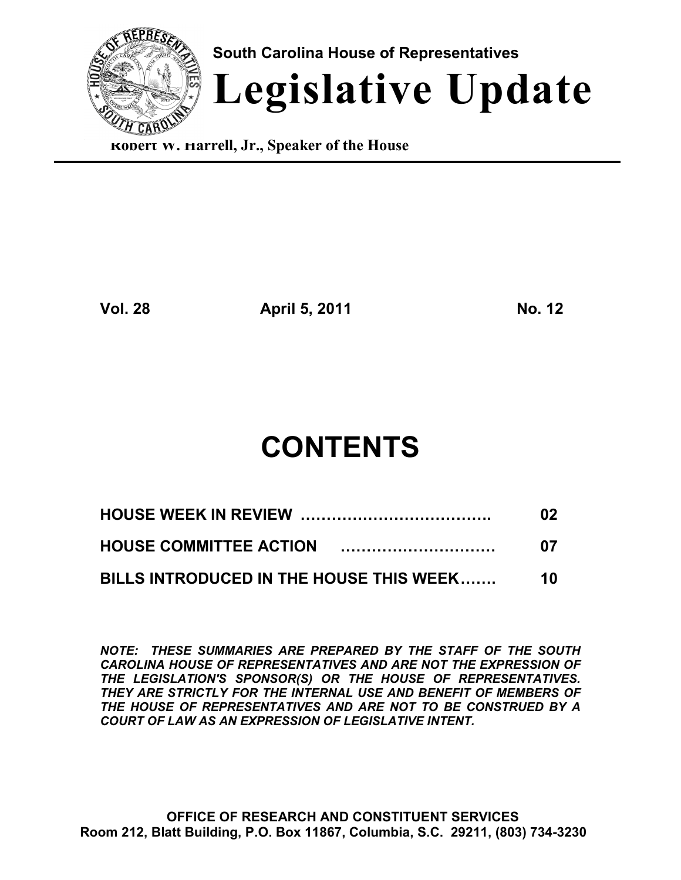

**Robert W. Harrell, Jr., Speaker of the House**

**Vol. 28 April 5, 2011 No. 12**

# **CONTENTS**

|                                         | 02 |
|-----------------------------------------|----|
|                                         | 07 |
| BILLS INTRODUCED IN THE HOUSE THIS WEEK | 10 |

*NOTE: THESE SUMMARIES ARE PREPARED BY THE STAFF OF THE SOUTH CAROLINA HOUSE OF REPRESENTATIVES AND ARE NOT THE EXPRESSION OF THE LEGISLATION'S SPONSOR(S) OR THE HOUSE OF REPRESENTATIVES. THEY ARE STRICTLY FOR THE INTERNAL USE AND BENEFIT OF MEMBERS OF THE HOUSE OF REPRESENTATIVES AND ARE NOT TO BE CONSTRUED BY A COURT OF LAW AS AN EXPRESSION OF LEGISLATIVE INTENT.*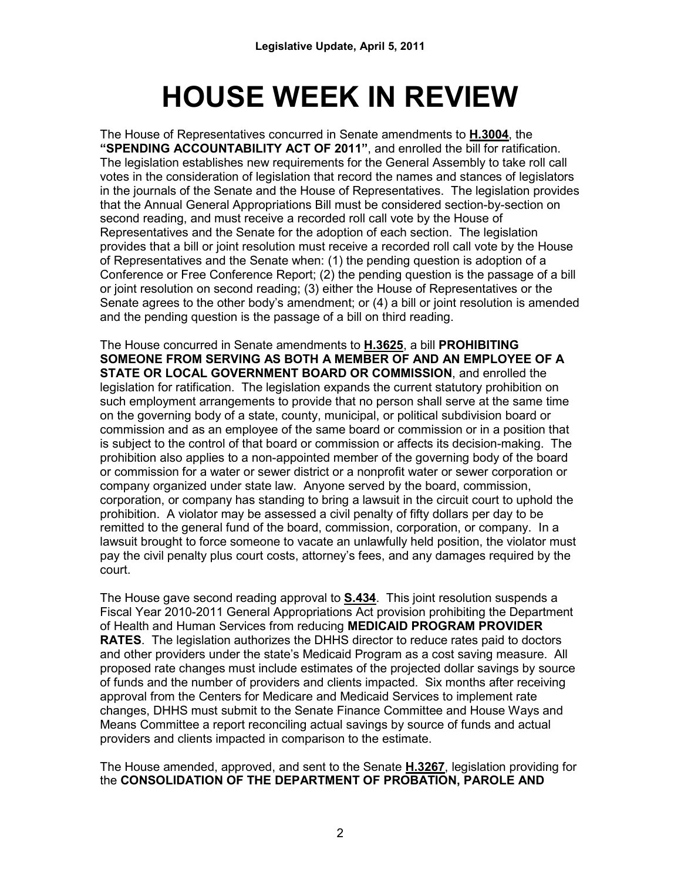# **HOUSE WEEK IN REVIEW**

The House of Representatives concurred in Senate amendments to **H.3004**, the **"SPENDING ACCOUNTABILITY ACT OF 2011"**, and enrolled the bill for ratification. The legislation establishes new requirements for the General Assembly to take roll call votes in the consideration of legislation that record the names and stances of legislators in the journals of the Senate and the House of Representatives. The legislation provides that the Annual General Appropriations Bill must be considered section-by-section on second reading, and must receive a recorded roll call vote by the House of Representatives and the Senate for the adoption of each section. The legislation provides that a bill or joint resolution must receive a recorded roll call vote by the House of Representatives and the Senate when: (1) the pending question is adoption of a Conference or Free Conference Report; (2) the pending question is the passage of a bill or joint resolution on second reading; (3) either the House of Representatives or the Senate agrees to the other body's amendment; or (4) a bill or joint resolution is amended and the pending question is the passage of a bill on third reading.

The House concurred in Senate amendments to **H.3625**, a bill **PROHIBITING SOMEONE FROM SERVING AS BOTH A MEMBER OF AND AN EMPLOYEE OF A STATE OR LOCAL GOVERNMENT BOARD OR COMMISSION**, and enrolled the legislation for ratification. The legislation expands the current statutory prohibition on such employment arrangements to provide that no person shall serve at the same time on the governing body of a state, county, municipal, or political subdivision board or commission and as an employee of the same board or commission or in a position that is subject to the control of that board or commission or affects its decision-making. The prohibition also applies to a non-appointed member of the governing body of the board or commission for a water or sewer district or a nonprofit water or sewer corporation or company organized under state law. Anyone served by the board, commission, corporation, or company has standing to bring a lawsuit in the circuit court to uphold the prohibition. A violator may be assessed a civil penalty of fifty dollars per day to be remitted to the general fund of the board, commission, corporation, or company. In a lawsuit brought to force someone to vacate an unlawfully held position, the violator must pay the civil penalty plus court costs, attorney's fees, and any damages required by the court.

The House gave second reading approval to **S.434**. This joint resolution suspends a Fiscal Year 2010-2011 General Appropriations Act provision prohibiting the Department of Health and Human Services from reducing **MEDICAID PROGRAM PROVIDER RATES**. The legislation authorizes the DHHS director to reduce rates paid to doctors and other providers under the state's Medicaid Program as a cost saving measure. All proposed rate changes must include estimates of the projected dollar savings by source of funds and the number of providers and clients impacted. Six months after receiving approval from the Centers for Medicare and Medicaid Services to implement rate changes, DHHS must submit to the Senate Finance Committee and House Ways and Means Committee a report reconciling actual savings by source of funds and actual providers and clients impacted in comparison to the estimate.

The House amended, approved, and sent to the Senate **H.3267**, legislation providing for the **CONSOLIDATION OF THE DEPARTMENT OF PROBATION, PAROLE AND**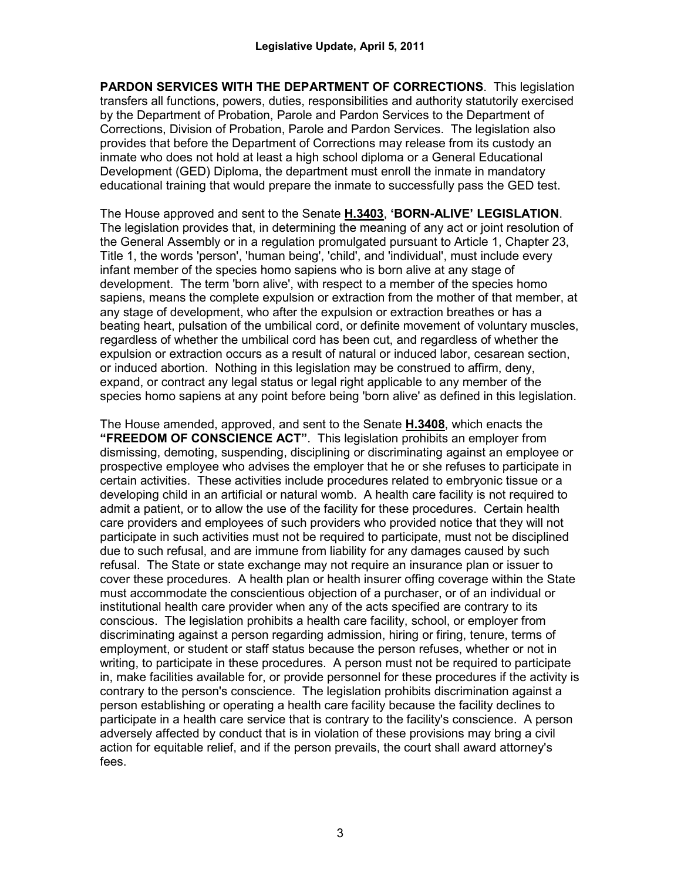**PARDON SERVICES WITH THE DEPARTMENT OF CORRECTIONS**. This legislation transfers all functions, powers, duties, responsibilities and authority statutorily exercised by the Department of Probation, Parole and Pardon Services to the Department of Corrections, Division of Probation, Parole and Pardon Services. The legislation also provides that before the Department of Corrections may release from its custody an inmate who does not hold at least a high school diploma or a General Educational Development (GED) Diploma, the department must enroll the inmate in mandatory educational training that would prepare the inmate to successfully pass the GED test.

The House approved and sent to the Senate **H.3403**, **'BORN-ALIVE' LEGISLATION**. The legislation provides that, in determining the meaning of any act or joint resolution of the General Assembly or in a regulation promulgated pursuant to Article 1, Chapter 23, Title 1, the words 'person', 'human being', 'child', and 'individual', must include every infant member of the species homo sapiens who is born alive at any stage of development. The term 'born alive', with respect to a member of the species homo sapiens, means the complete expulsion or extraction from the mother of that member, at any stage of development, who after the expulsion or extraction breathes or has a beating heart, pulsation of the umbilical cord, or definite movement of voluntary muscles, regardless of whether the umbilical cord has been cut, and regardless of whether the expulsion or extraction occurs as a result of natural or induced labor, cesarean section, or induced abortion. Nothing in this legislation may be construed to affirm, deny, expand, or contract any legal status or legal right applicable to any member of the species homo sapiens at any point before being 'born alive' as defined in this legislation.

The House amended, approved, and sent to the Senate **H.3408**, which enacts the **"FREEDOM OF CONSCIENCE ACT"**. This legislation prohibits an employer from dismissing, demoting, suspending, disciplining or discriminating against an employee or prospective employee who advises the employer that he or she refuses to participate in certain activities. These activities include procedures related to embryonic tissue or a developing child in an artificial or natural womb. A health care facility is not required to admit a patient, or to allow the use of the facility for these procedures. Certain health care providers and employees of such providers who provided notice that they will not participate in such activities must not be required to participate, must not be disciplined due to such refusal, and are immune from liability for any damages caused by such refusal. The State or state exchange may not require an insurance plan or issuer to cover these procedures. A health plan or health insurer offing coverage within the State must accommodate the conscientious objection of a purchaser, or of an individual or institutional health care provider when any of the acts specified are contrary to its conscious. The legislation prohibits a health care facility, school, or employer from discriminating against a person regarding admission, hiring or firing, tenure, terms of employment, or student or staff status because the person refuses, whether or not in writing, to participate in these procedures. A person must not be required to participate in, make facilities available for, or provide personnel for these procedures if the activity is contrary to the person's conscience. The legislation prohibits discrimination against a person establishing or operating a health care facility because the facility declines to participate in a health care service that is contrary to the facility's conscience. A person adversely affected by conduct that is in violation of these provisions may bring a civil action for equitable relief, and if the person prevails, the court shall award attorney's fees.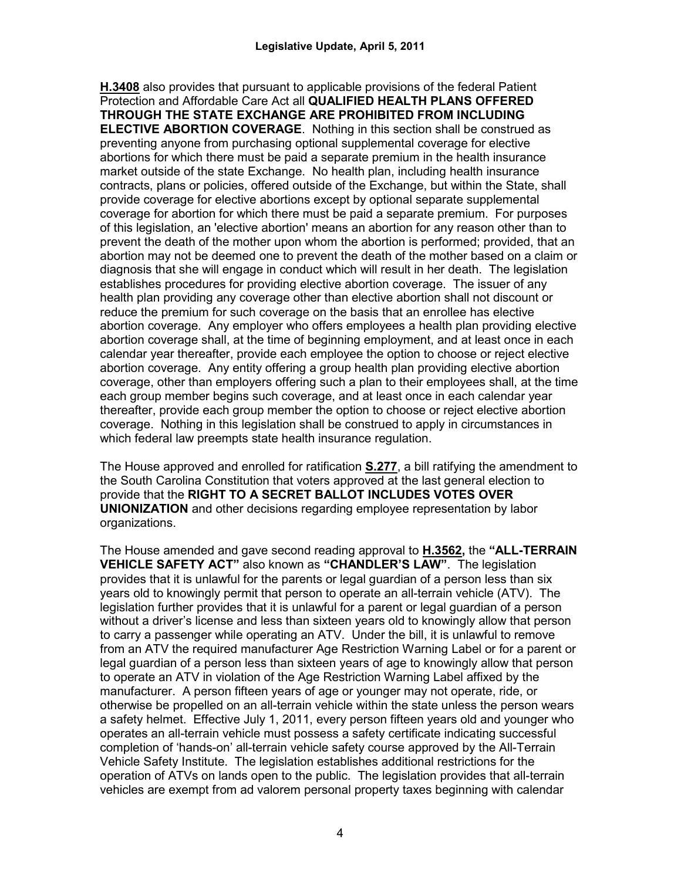**H.3408** also provides that pursuant to applicable provisions of the federal Patient Protection and Affordable Care Act all **QUALIFIED HEALTH PLANS OFFERED THROUGH THE STATE EXCHANGE ARE PROHIBITED FROM INCLUDING ELECTIVE ABORTION COVERAGE**. Nothing in this section shall be construed as preventing anyone from purchasing optional supplemental coverage for elective abortions for which there must be paid a separate premium in the health insurance market outside of the state Exchange. No health plan, including health insurance contracts, plans or policies, offered outside of the Exchange, but within the State, shall provide coverage for elective abortions except by optional separate supplemental coverage for abortion for which there must be paid a separate premium. For purposes of this legislation, an 'elective abortion' means an abortion for any reason other than to prevent the death of the mother upon whom the abortion is performed; provided, that an abortion may not be deemed one to prevent the death of the mother based on a claim or diagnosis that she will engage in conduct which will result in her death. The legislation establishes procedures for providing elective abortion coverage. The issuer of any health plan providing any coverage other than elective abortion shall not discount or reduce the premium for such coverage on the basis that an enrollee has elective abortion coverage. Any employer who offers employees a health plan providing elective abortion coverage shall, at the time of beginning employment, and at least once in each calendar year thereafter, provide each employee the option to choose or reject elective abortion coverage. Any entity offering a group health plan providing elective abortion coverage, other than employers offering such a plan to their employees shall, at the time each group member begins such coverage, and at least once in each calendar year thereafter, provide each group member the option to choose or reject elective abortion coverage. Nothing in this legislation shall be construed to apply in circumstances in which federal law preempts state health insurance regulation.

The House approved and enrolled for ratification **S.277**, a bill ratifying the amendment to the South Carolina Constitution that voters approved at the last general election to provide that the **RIGHT TO A SECRET BALLOT INCLUDES VOTES OVER UNIONIZATION** and other decisions regarding employee representation by labor organizations.

The House amended and gave second reading approval to **H.3562,** the **"ALL-TERRAIN VEHICLE SAFETY ACT"** also known as **"CHANDLER'S LAW"**. The legislation provides that it is unlawful for the parents or legal guardian of a person less than six years old to knowingly permit that person to operate an all-terrain vehicle (ATV). The legislation further provides that it is unlawful for a parent or legal guardian of a person without a driver's license and less than sixteen years old to knowingly allow that person to carry a passenger while operating an ATV. Under the bill, it is unlawful to remove from an ATV the required manufacturer Age Restriction Warning Label or for a parent or legal guardian of a person less than sixteen years of age to knowingly allow that person to operate an ATV in violation of the Age Restriction Warning Label affixed by the manufacturer. A person fifteen years of age or younger may not operate, ride, or otherwise be propelled on an all-terrain vehicle within the state unless the person wears a safety helmet. Effective July 1, 2011, every person fifteen years old and younger who operates an all-terrain vehicle must possess a safety certificate indicating successful completion of 'hands-on' all-terrain vehicle safety course approved by the All-Terrain Vehicle Safety Institute. The legislation establishes additional restrictions for the operation of ATVs on lands open to the public. The legislation provides that all-terrain vehicles are exempt from ad valorem personal property taxes beginning with calendar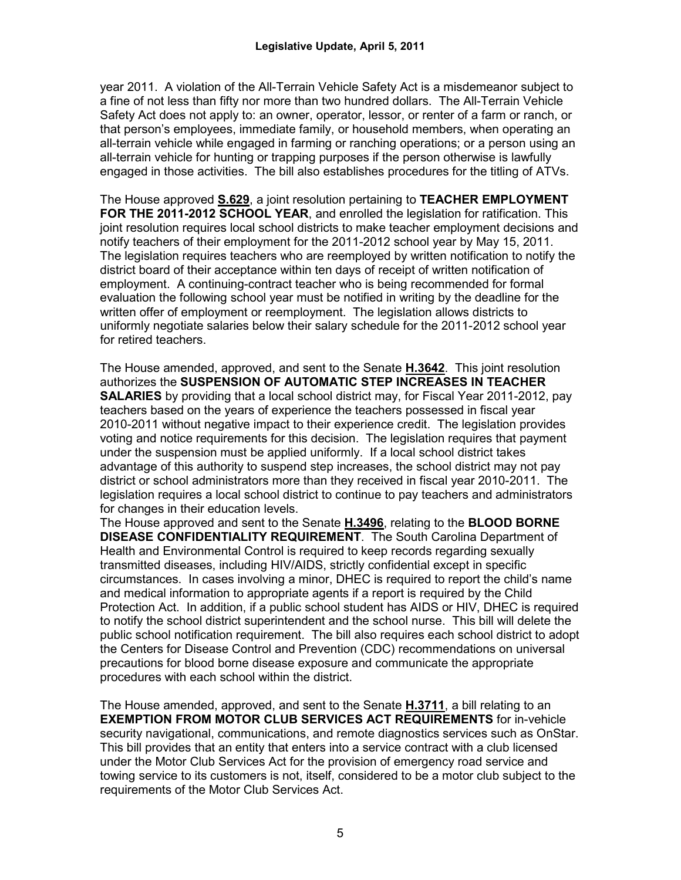year 2011. A violation of the All-Terrain Vehicle Safety Act is a misdemeanor subject to a fine of not less than fifty nor more than two hundred dollars. The All-Terrain Vehicle Safety Act does not apply to: an owner, operator, lessor, or renter of a farm or ranch, or that person's employees, immediate family, or household members, when operating an all-terrain vehicle while engaged in farming or ranching operations; or a person using an all-terrain vehicle for hunting or trapping purposes if the person otherwise is lawfully engaged in those activities. The bill also establishes procedures for the titling of ATVs.

The House approved **S.629**, a joint resolution pertaining to **TEACHER EMPLOYMENT FOR THE 2011-2012 SCHOOL YEAR**, and enrolled the legislation for ratification. This joint resolution requires local school districts to make teacher employment decisions and notify teachers of their employment for the 2011-2012 school year by May 15, 2011. The legislation requires teachers who are reemployed by written notification to notify the district board of their acceptance within ten days of receipt of written notification of employment. A continuing-contract teacher who is being recommended for formal evaluation the following school year must be notified in writing by the deadline for the written offer of employment or reemployment. The legislation allows districts to uniformly negotiate salaries below their salary schedule for the 2011-2012 school year for retired teachers.

The House amended, approved, and sent to the Senate **H.3642**.This joint resolution authorizes the **SUSPENSION OF AUTOMATIC STEP INCREASES IN TEACHER SALARIES** by providing that a local school district may, for Fiscal Year 2011-2012, pay teachers based on the years of experience the teachers possessed in fiscal year 2010-2011 without negative impact to their experience credit. The legislation provides voting and notice requirements for this decision. The legislation requires that payment under the suspension must be applied uniformly. If a local school district takes advantage of this authority to suspend step increases, the school district may not pay district or school administrators more than they received in fiscal year 2010-2011. The legislation requires a local school district to continue to pay teachers and administrators for changes in their education levels.

The House approved and sent to the Senate **H.3496**, relating to the **BLOOD BORNE DISEASE CONFIDENTIALITY REQUIREMENT**. The South Carolina Department of Health and Environmental Control is required to keep records regarding sexually transmitted diseases, including HIV/AIDS, strictly confidential except in specific circumstances. In cases involving a minor, DHEC is required to report the child's name and medical information to appropriate agents if a report is required by the Child Protection Act. In addition, if a public school student has AIDS or HIV, DHEC is required to notify the school district superintendent and the school nurse. This bill will delete the public school notification requirement. The bill also requires each school district to adopt the Centers for Disease Control and Prevention (CDC) recommendations on universal precautions for blood borne disease exposure and communicate the appropriate procedures with each school within the district.

The House amended, approved, and sent to the Senate **H.3711**, a bill relating to an **EXEMPTION FROM MOTOR CLUB SERVICES ACT REQUIREMENTS** for in-vehicle security navigational, communications, and remote diagnostics services such as OnStar. This bill provides that an entity that enters into a service contract with a club licensed under the Motor Club Services Act for the provision of emergency road service and towing service to its customers is not, itself, considered to be a motor club subject to the requirements of the Motor Club Services Act.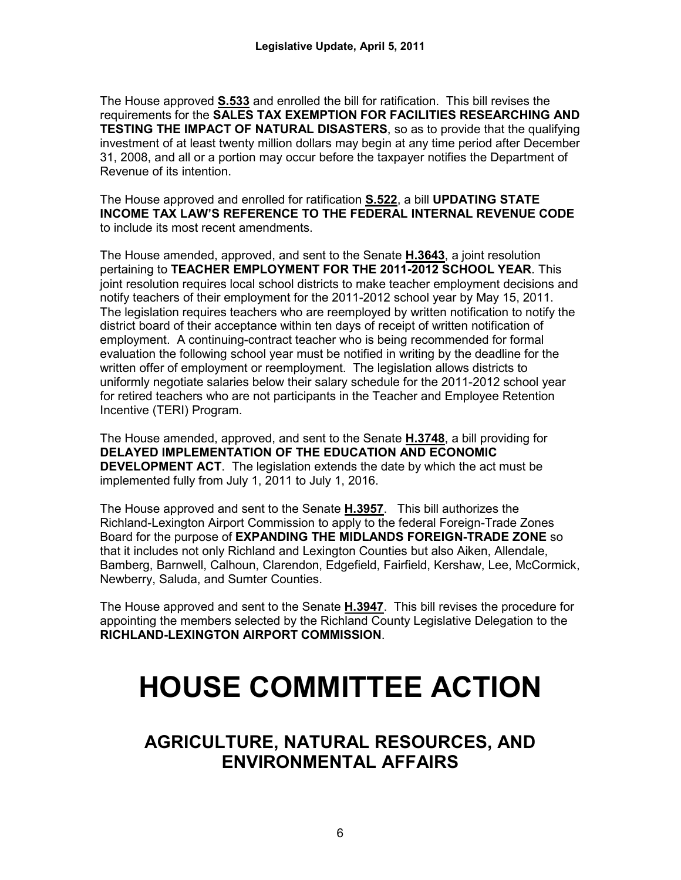The House approved **S.533** and enrolled the bill for ratification. This bill revises the requirements for the **SALES TAX EXEMPTION FOR FACILITIES RESEARCHING AND TESTING THE IMPACT OF NATURAL DISASTERS**, so as to provide that the qualifying investment of at least twenty million dollars may begin at any time period after December 31, 2008, and all or a portion may occur before the taxpayer notifies the Department of Revenue of its intention.

The House approved and enrolled for ratification **S.522**, a bill **UPDATING STATE INCOME TAX LAW'S REFERENCE TO THE FEDERAL INTERNAL REVENUE CODE** to include its most recent amendments.

The House amended, approved, and sent to the Senate **H.3643**, a joint resolution pertaining to **TEACHER EMPLOYMENT FOR THE 2011-2012 SCHOOL YEAR**. This joint resolution requires local school districts to make teacher employment decisions and notify teachers of their employment for the 2011-2012 school year by May 15, 2011. The legislation requires teachers who are reemployed by written notification to notify the district board of their acceptance within ten days of receipt of written notification of employment. A continuing-contract teacher who is being recommended for formal evaluation the following school year must be notified in writing by the deadline for the written offer of employment or reemployment. The legislation allows districts to uniformly negotiate salaries below their salary schedule for the 2011-2012 school year for retired teachers who are not participants in the Teacher and Employee Retention Incentive (TERI) Program.

The House amended, approved, and sent to the Senate **H.3748**, a bill providing for **DELAYED IMPLEMENTATION OF THE EDUCATION AND ECONOMIC DEVELOPMENT ACT**. The legislation extends the date by which the act must be implemented fully from July 1, 2011 to July 1, 2016.

The House approved and sent to the Senate **H.3957**. This bill authorizes the Richland-Lexington Airport Commission to apply to the federal Foreign-Trade Zones Board for the purpose of **EXPANDING THE MIDLANDS FOREIGN-TRADE ZONE** so that it includes not only Richland and Lexington Counties but also Aiken, Allendale, Bamberg, Barnwell, Calhoun, Clarendon, Edgefield, Fairfield, Kershaw, Lee, McCormick, Newberry, Saluda, and Sumter Counties.

The House approved and sent to the Senate **H.3947**. This bill revises the procedure for appointing the members selected by the Richland County Legislative Delegation to the **RICHLAND-LEXINGTON AIRPORT COMMISSION**.

# **HOUSE COMMITTEE ACTION**

**AGRICULTURE, NATURAL RESOURCES, AND ENVIRONMENTAL AFFAIRS**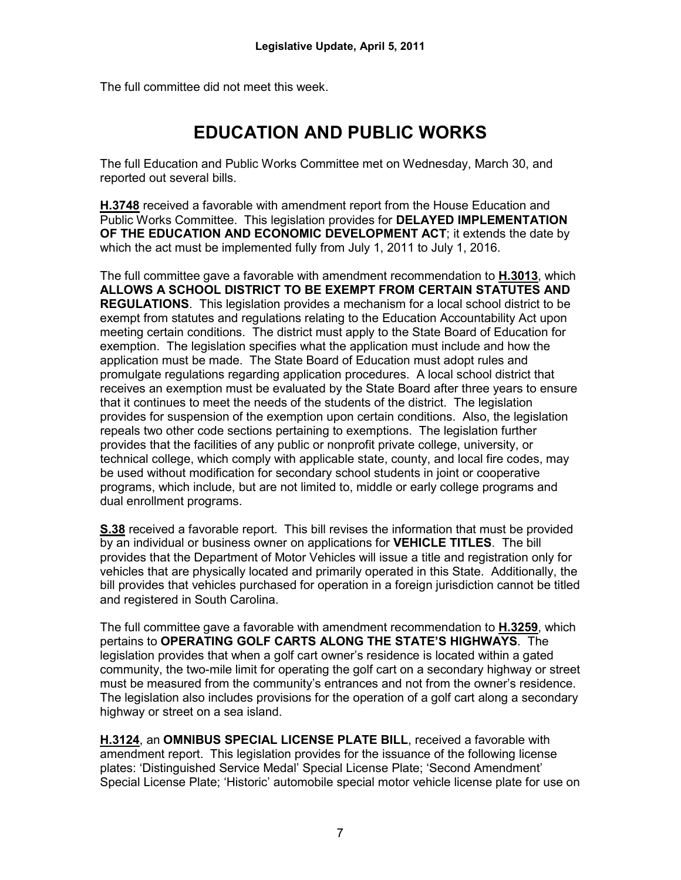The full committee did not meet this week.

# **EDUCATION AND PUBLIC WORKS**

The full Education and Public Works Committee met on Wednesday, March 30, and reported out several bills.

**H.3748** received a favorable with amendment report from the House Education and Public Works Committee. This legislation provides for **DELAYED IMPLEMENTATION OF THE EDUCATION AND ECONOMIC DEVELOPMENT ACT**; it extends the date by which the act must be implemented fully from July 1, 2011 to July 1, 2016.

The full committee gave a favorable with amendment recommendation to **H.3013**, which **ALLOWS A SCHOOL DISTRICT TO BE EXEMPT FROM CERTAIN STATUTES AND REGULATIONS**. This legislation provides a mechanism for a local school district to be exempt from statutes and regulations relating to the Education Accountability Act upon meeting certain conditions. The district must apply to the State Board of Education for exemption. The legislation specifies what the application must include and how the application must be made. The State Board of Education must adopt rules and promulgate regulations regarding application procedures. A local school district that receives an exemption must be evaluated by the State Board after three years to ensure that it continues to meet the needs of the students of the district. The legislation provides for suspension of the exemption upon certain conditions. Also, the legislation repeals two other code sections pertaining to exemptions. The legislation further provides that the facilities of any public or nonprofit private college, university, or technical college, which comply with applicable state, county, and local fire codes, may be used without modification for secondary school students in joint or cooperative programs, which include, but are not limited to, middle or early college programs and dual enrollment programs.

**S.38** received a favorable report. This bill revises the information that must be provided by an individual or business owner on applications for **VEHICLE TITLES**. The bill provides that the Department of Motor Vehicles will issue a title and registration only for vehicles that are physically located and primarily operated in this State. Additionally, the bill provides that vehicles purchased for operation in a foreign jurisdiction cannot be titled and registered in South Carolina.

The full committee gave a favorable with amendment recommendation to **H.3259**, which pertains to **OPERATING GOLF CARTS ALONG THE STATE'S HIGHWAYS**. The legislation provides that when a golf cart owner's residence is located within a gated community, the two-mile limit for operating the golf cart on a secondary highway or street must be measured from the community's entrances and not from the owner's residence. The legislation also includes provisions for the operation of a golf cart along a secondary highway or street on a sea island.

**H.3124**, an **OMNIBUS SPECIAL LICENSE PLATE BILL**, received a favorable with amendment report. This legislation provides for the issuance of the following license plates: 'Distinguished Service Medal' Special License Plate; 'Second Amendment' Special License Plate; 'Historic' automobile special motor vehicle license plate for use on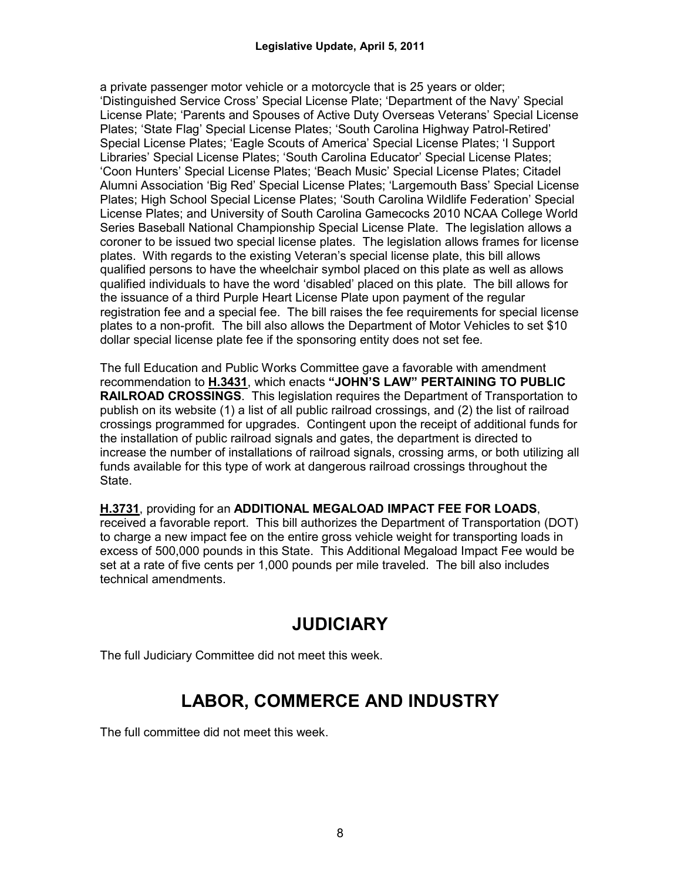a private passenger motor vehicle or a motorcycle that is 25 years or older; 'Distinguished Service Cross' Special License Plate; 'Department of the Navy' Special License Plate; 'Parents and Spouses of Active Duty Overseas Veterans' Special License Plates; 'State Flag' Special License Plates; 'South Carolina Highway Patrol-Retired' Special License Plates; 'Eagle Scouts of America' Special License Plates; 'I Support Libraries' Special License Plates; 'South Carolina Educator' Special License Plates; 'Coon Hunters' Special License Plates; 'Beach Music' Special License Plates; Citadel Alumni Association 'Big Red' Special License Plates; 'Largemouth Bass' Special License Plates; High School Special License Plates; 'South Carolina Wildlife Federation' Special License Plates; and University of South Carolina Gamecocks 2010 NCAA College World Series Baseball National Championship Special License Plate. The legislation allows a coroner to be issued two special license plates. The legislation allows frames for license plates. With regards to the existing Veteran's special license plate, this bill allows qualified persons to have the wheelchair symbol placed on this plate as well as allows qualified individuals to have the word 'disabled' placed on this plate. The bill allows for the issuance of a third Purple Heart License Plate upon payment of the regular registration fee and a special fee. The bill raises the fee requirements for special license plates to a non-profit. The bill also allows the Department of Motor Vehicles to set \$10 dollar special license plate fee if the sponsoring entity does not set fee.

The full Education and Public Works Committee gave a favorable with amendment recommendation to **H.3431**, which enacts **"JOHN'S LAW" PERTAINING TO PUBLIC RAILROAD CROSSINGS**. This legislation requires the Department of Transportation to publish on its website (1) a list of all public railroad crossings, and (2) the list of railroad crossings programmed for upgrades. Contingent upon the receipt of additional funds for the installation of public railroad signals and gates, the department is directed to increase the number of installations of railroad signals, crossing arms, or both utilizing all funds available for this type of work at dangerous railroad crossings throughout the State.

**H.3731**, providing for an **ADDITIONAL MEGALOAD IMPACT FEE FOR LOADS**, received a favorable report. This bill authorizes the Department of Transportation (DOT) to charge a new impact fee on the entire gross vehicle weight for transporting loads in excess of 500,000 pounds in this State. This Additional Megaload Impact Fee would be set at a rate of five cents per 1,000 pounds per mile traveled. The bill also includes technical amendments.

# **JUDICIARY**

The full Judiciary Committee did not meet this week.

# **LABOR, COMMERCE AND INDUSTRY**

The full committee did not meet this week.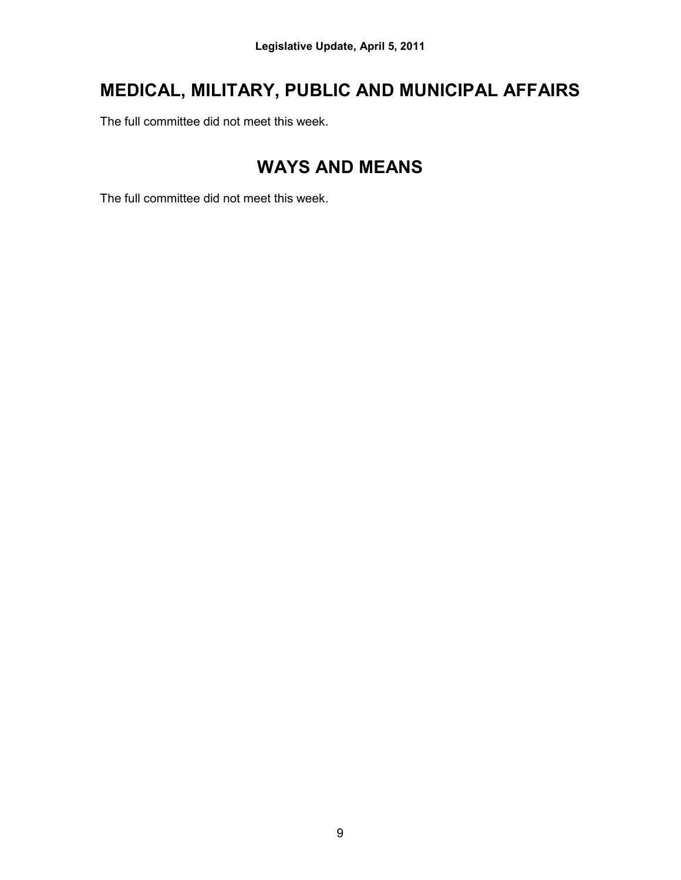# **MEDICAL, MILITARY, PUBLIC AND MUNICIPAL AFFAIRS**

The full committee did not meet this week.

# **WAYS AND MEANS**

The full committee did not meet this week.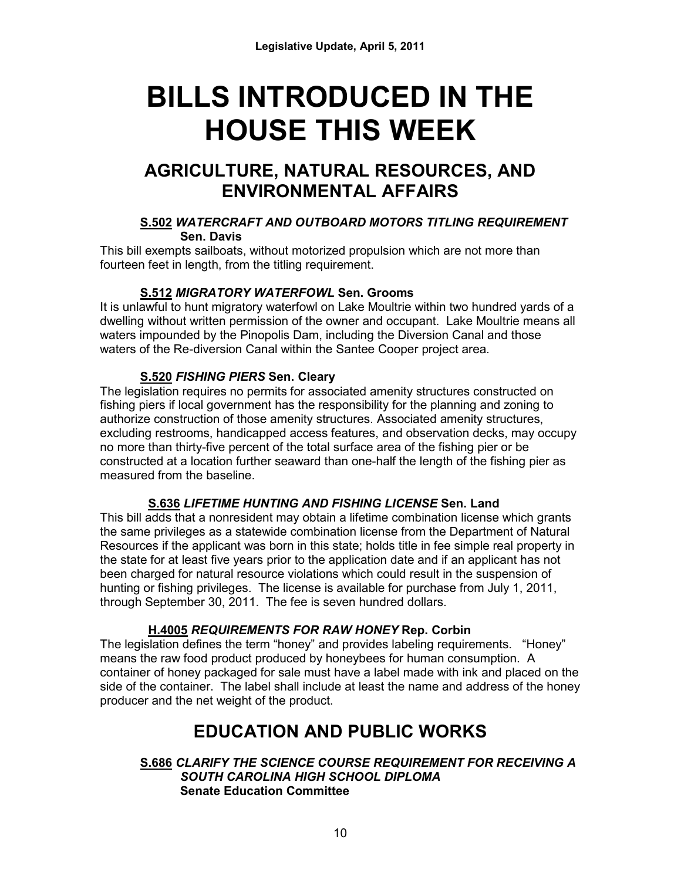# **BILLS INTRODUCED IN THE HOUSE THIS WEEK**

# **AGRICULTURE, NATURAL RESOURCES, AND ENVIRONMENTAL AFFAIRS**

#### **S.502** *WATERCRAFT AND OUTBOARD MOTORS TITLING REQUIREMENT*  **Sen. Davis**

This bill exempts sailboats, without motorized propulsion which are not more than fourteen feet in length, from the titling requirement.

## **S.512** *MIGRATORY WATERFOWL* **Sen. Grooms**

It is unlawful to hunt migratory waterfowl on Lake Moultrie within two hundred yards of a dwelling without written permission of the owner and occupant. Lake Moultrie means all waters impounded by the Pinopolis Dam, including the Diversion Canal and those waters of the Re-diversion Canal within the Santee Cooper project area.

# **S.520** *FISHING PIERS* **Sen. Cleary**

The legislation requires no permits for associated amenity structures constructed on fishing piers if local government has the responsibility for the planning and zoning to authorize construction of those amenity structures. Associated amenity structures, excluding restrooms, handicapped access features, and observation decks, may occupy no more than thirty-five percent of the total surface area of the fishing pier or be constructed at a location further seaward than one-half the length of the fishing pier as measured from the baseline.

## **S.636** *LIFETIME HUNTING AND FISHING LICENSE* **Sen. Land**

This bill adds that a nonresident may obtain a lifetime combination license which grants the same privileges as a statewide combination license from the Department of Natural Resources if the applicant was born in this state; holds title in fee simple real property in the state for at least five years prior to the application date and if an applicant has not been charged for natural resource violations which could result in the suspension of hunting or fishing privileges. The license is available for purchase from July 1, 2011, through September 30, 2011. The fee is seven hundred dollars.

# **H.4005** *REQUIREMENTS FOR RAW HONEY* **Rep. Corbin**

The legislation defines the term "honey" and provides labeling requirements. "Honey" means the raw food product produced by honeybees for human consumption. A container of honey packaged for sale must have a label made with ink and placed on the side of the container. The label shall include at least the name and address of the honey producer and the net weight of the product.

# **EDUCATION AND PUBLIC WORKS**

#### **S.686** *CLARIFY THE SCIENCE COURSE REQUIREMENT FOR RECEIVING A SOUTH CAROLINA HIGH SCHOOL DIPLOMA* **Senate Education Committee**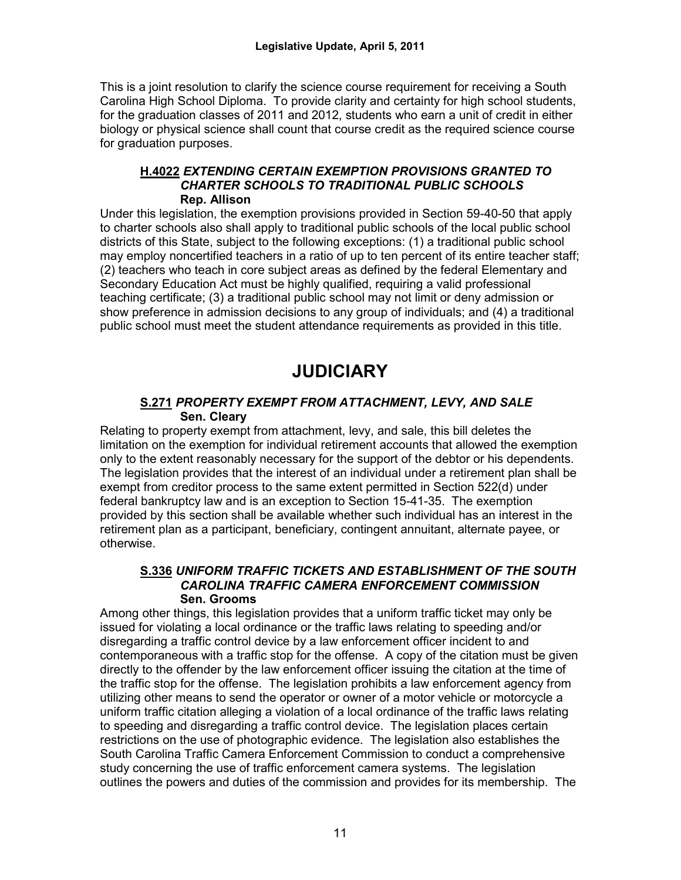This is a joint resolution to clarify the science course requirement for receiving a South Carolina High School Diploma. To provide clarity and certainty for high school students, for the graduation classes of 2011 and 2012, students who earn a unit of credit in either biology or physical science shall count that course credit as the required science course for graduation purposes.

#### **H.4022** *EXTENDING CERTAIN EXEMPTION PROVISIONS GRANTED TO CHARTER SCHOOLS TO TRADITIONAL PUBLIC SCHOOLS* **Rep. Allison**

Under this legislation, the exemption provisions provided in Section 59-40-50 that apply to charter schools also shall apply to traditional public schools of the local public school districts of this State, subject to the following exceptions: (1) a traditional public school may employ noncertified teachers in a ratio of up to ten percent of its entire teacher staff; (2) teachers who teach in core subject areas as defined by the federal Elementary and Secondary Education Act must be highly qualified, requiring a valid professional teaching certificate; (3) a traditional public school may not limit or deny admission or show preference in admission decisions to any group of individuals; and (4) a traditional public school must meet the student attendance requirements as provided in this title.

# **JUDICIARY**

#### **S.271** *PROPERTY EXEMPT FROM ATTACHMENT, LEVY, AND SALE* **Sen. Cleary**

Relating to property exempt from attachment, levy, and sale, this bill deletes the limitation on the exemption for individual retirement accounts that allowed the exemption only to the extent reasonably necessary for the support of the debtor or his dependents. The legislation provides that the interest of an individual under a retirement plan shall be exempt from creditor process to the same extent permitted in Section 522(d) under federal bankruptcy law and is an exception to Section 15-41-35. The exemption provided by this section shall be available whether such individual has an interest in the retirement plan as a participant, beneficiary, contingent annuitant, alternate payee, or otherwise.

#### **S.336** *UNIFORM TRAFFIC TICKETS AND ESTABLISHMENT OF THE SOUTH CAROLINA TRAFFIC CAMERA ENFORCEMENT COMMISSION*  **Sen. Grooms**

Among other things, this legislation provides that a uniform traffic ticket may only be issued for violating a local ordinance or the traffic laws relating to speeding and/or disregarding a traffic control device by a law enforcement officer incident to and contemporaneous with a traffic stop for the offense. A copy of the citation must be given directly to the offender by the law enforcement officer issuing the citation at the time of the traffic stop for the offense. The legislation prohibits a law enforcement agency from utilizing other means to send the operator or owner of a motor vehicle or motorcycle a uniform traffic citation alleging a violation of a local ordinance of the traffic laws relating to speeding and disregarding a traffic control device. The legislation places certain restrictions on the use of photographic evidence. The legislation also establishes the South Carolina Traffic Camera Enforcement Commission to conduct a comprehensive study concerning the use of traffic enforcement camera systems. The legislation outlines the powers and duties of the commission and provides for its membership. The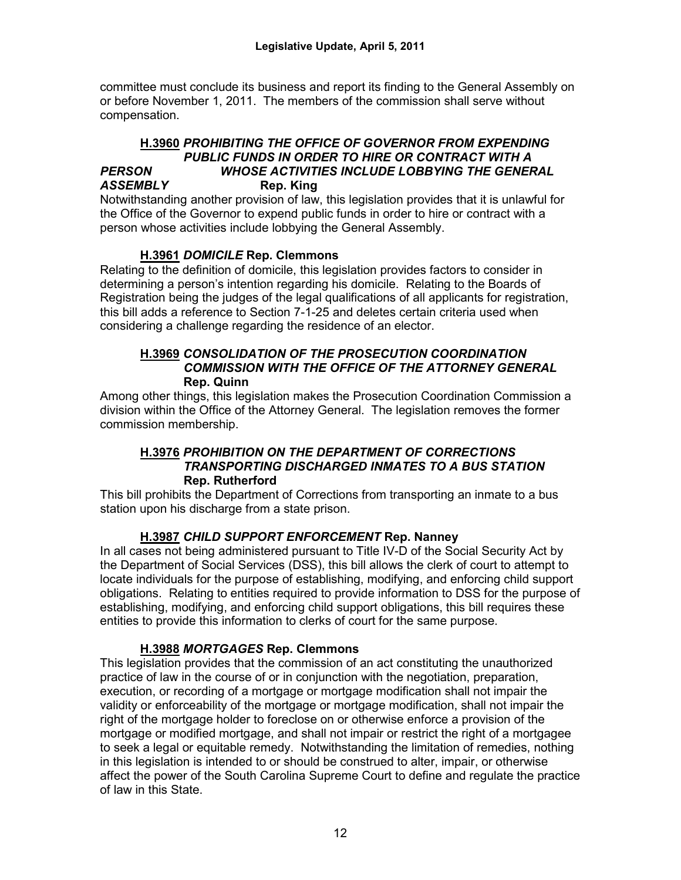committee must conclude its business and report its finding to the General Assembly on or before November 1, 2011. The members of the commission shall serve without compensation.

#### **H.3960** *PROHIBITING THE OFFICE OF GOVERNOR FROM EXPENDING PUBLIC FUNDS IN ORDER TO HIRE OR CONTRACT WITH A PERSON WHOSE ACTIVITIES INCLUDE LOBBYING THE GENERAL ASSEMBLY* **Rep. King**

Notwithstanding another provision of law, this legislation provides that it is unlawful for the Office of the Governor to expend public funds in order to hire or contract with a person whose activities include lobbying the General Assembly.

## **H.3961** *DOMICILE* **Rep. Clemmons**

Relating to the definition of domicile, this legislation provides factors to consider in determining a person's intention regarding his domicile. Relating to the Boards of Registration being the judges of the legal qualifications of all applicants for registration, this bill adds a reference to Section 7-1-25 and deletes certain criteria used when considering a challenge regarding the residence of an elector.

#### **H.3969** *CONSOLIDATION OF THE PROSECUTION COORDINATION COMMISSION WITH THE OFFICE OF THE ATTORNEY GENERAL*  **Rep. Quinn**

Among other things, this legislation makes the Prosecution Coordination Commission a division within the Office of the Attorney General. The legislation removes the former commission membership.

#### **H.3976** *PROHIBITION ON THE DEPARTMENT OF CORRECTIONS TRANSPORTING DISCHARGED INMATES TO A BUS STATION*  **Rep. Rutherford**

This bill prohibits the Department of Corrections from transporting an inmate to a bus station upon his discharge from a state prison.

## **H.3987** *CHILD SUPPORT ENFORCEMENT* **Rep. Nanney**

In all cases not being administered pursuant to Title IV-D of the Social Security Act by the Department of Social Services (DSS), this bill allows the clerk of court to attempt to locate individuals for the purpose of establishing, modifying, and enforcing child support obligations. Relating to entities required to provide information to DSS for the purpose of establishing, modifying, and enforcing child support obligations, this bill requires these entities to provide this information to clerks of court for the same purpose.

#### **H.3988** *MORTGAGES* **Rep. Clemmons**

This legislation provides that the commission of an act constituting the unauthorized practice of law in the course of or in conjunction with the negotiation, preparation, execution, or recording of a mortgage or mortgage modification shall not impair the validity or enforceability of the mortgage or mortgage modification, shall not impair the right of the mortgage holder to foreclose on or otherwise enforce a provision of the mortgage or modified mortgage, and shall not impair or restrict the right of a mortgagee to seek a legal or equitable remedy. Notwithstanding the limitation of remedies, nothing in this legislation is intended to or should be construed to alter, impair, or otherwise affect the power of the South Carolina Supreme Court to define and regulate the practice of law in this State.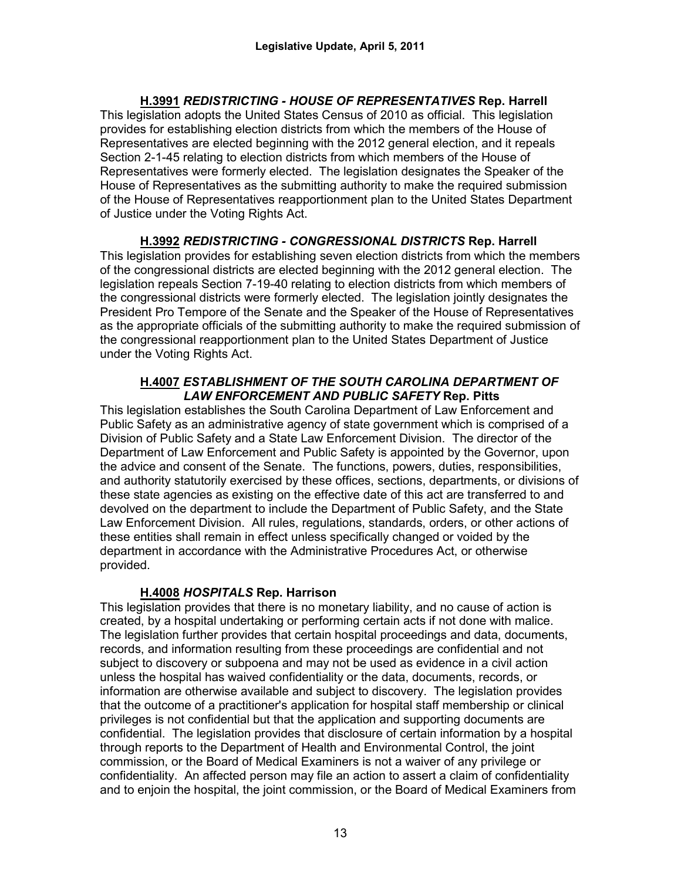**H.3991** *REDISTRICTING - HOUSE OF REPRESENTATIVES* **Rep. Harrell** This legislation adopts the United States Census of 2010 as official. This legislation provides for establishing election districts from which the members of the House of Representatives are elected beginning with the 2012 general election, and it repeals Section 2-1-45 relating to election districts from which members of the House of Representatives were formerly elected. The legislation designates the Speaker of the House of Representatives as the submitting authority to make the required submission of the House of Representatives reapportionment plan to the United States Department of Justice under the Voting Rights Act.

**H.3992** *REDISTRICTING - CONGRESSIONAL DISTRICTS* **Rep. Harrell** This legislation provides for establishing seven election districts from which the members of the congressional districts are elected beginning with the 2012 general election. The legislation repeals Section 7-19-40 relating to election districts from which members of the congressional districts were formerly elected. The legislation jointly designates the President Pro Tempore of the Senate and the Speaker of the House of Representatives as the appropriate officials of the submitting authority to make the required submission of the congressional reapportionment plan to the United States Department of Justice under the Voting Rights Act.

#### **H.4007** *ESTABLISHMENT OF THE SOUTH CAROLINA DEPARTMENT OF LAW ENFORCEMENT AND PUBLIC SAFETY* **Rep. Pitts**

This legislation establishes the South Carolina Department of Law Enforcement and Public Safety as an administrative agency of state government which is comprised of a Division of Public Safety and a State Law Enforcement Division. The director of the Department of Law Enforcement and Public Safety is appointed by the Governor, upon the advice and consent of the Senate. The functions, powers, duties, responsibilities, and authority statutorily exercised by these offices, sections, departments, or divisions of these state agencies as existing on the effective date of this act are transferred to and devolved on the department to include the Department of Public Safety, and the State Law Enforcement Division. All rules, regulations, standards, orders, or other actions of these entities shall remain in effect unless specifically changed or voided by the department in accordance with the Administrative Procedures Act, or otherwise provided.

## **H.4008** *HOSPITALS* **Rep. Harrison**

This legislation provides that there is no monetary liability, and no cause of action is created, by a hospital undertaking or performing certain acts if not done with malice. The legislation further provides that certain hospital proceedings and data, documents, records, and information resulting from these proceedings are confidential and not subject to discovery or subpoena and may not be used as evidence in a civil action unless the hospital has waived confidentiality or the data, documents, records, or information are otherwise available and subject to discovery. The legislation provides that the outcome of a practitioner's application for hospital staff membership or clinical privileges is not confidential but that the application and supporting documents are confidential. The legislation provides that disclosure of certain information by a hospital through reports to the Department of Health and Environmental Control, the joint commission, or the Board of Medical Examiners is not a waiver of any privilege or confidentiality. An affected person may file an action to assert a claim of confidentiality and to enjoin the hospital, the joint commission, or the Board of Medical Examiners from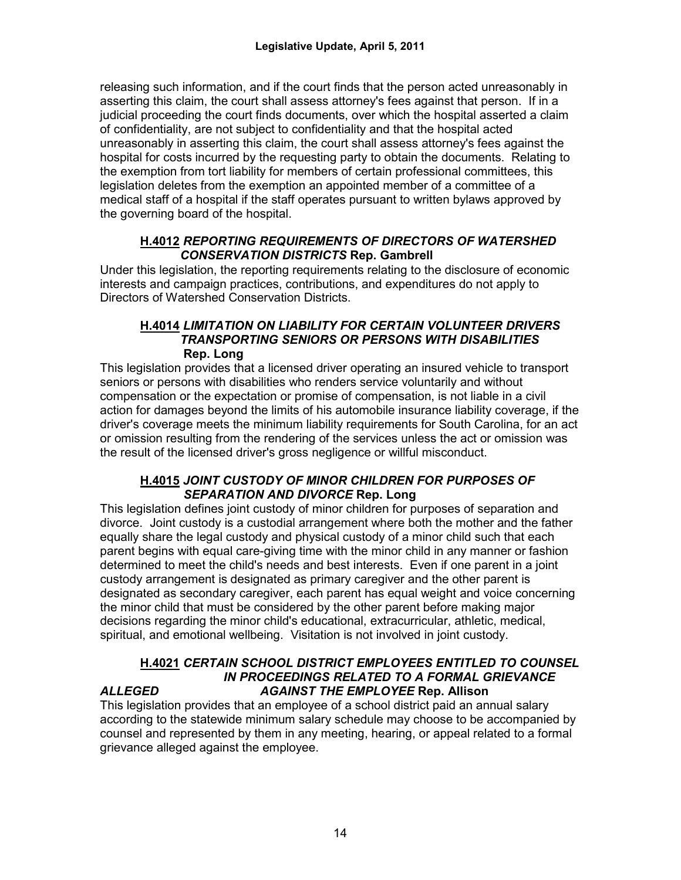releasing such information, and if the court finds that the person acted unreasonably in asserting this claim, the court shall assess attorney's fees against that person. If in a judicial proceeding the court finds documents, over which the hospital asserted a claim of confidentiality, are not subject to confidentiality and that the hospital acted unreasonably in asserting this claim, the court shall assess attorney's fees against the hospital for costs incurred by the requesting party to obtain the documents. Relating to the exemption from tort liability for members of certain professional committees, this legislation deletes from the exemption an appointed member of a committee of a medical staff of a hospital if the staff operates pursuant to written bylaws approved by the governing board of the hospital.

#### **H.4012** *REPORTING REQUIREMENTS OF DIRECTORS OF WATERSHED CONSERVATION DISTRICTS* **Rep. Gambrell**

Under this legislation, the reporting requirements relating to the disclosure of economic interests and campaign practices, contributions, and expenditures do not apply to Directors of Watershed Conservation Districts.

#### **H.4014** *LIMITATION ON LIABILITY FOR CERTAIN VOLUNTEER DRIVERS TRANSPORTING SENIORS OR PERSONS WITH DISABILITIES*  **Rep. Long**

This legislation provides that a licensed driver operating an insured vehicle to transport seniors or persons with disabilities who renders service voluntarily and without compensation or the expectation or promise of compensation, is not liable in a civil action for damages beyond the limits of his automobile insurance liability coverage, if the driver's coverage meets the minimum liability requirements for South Carolina, for an act or omission resulting from the rendering of the services unless the act or omission was the result of the licensed driver's gross negligence or willful misconduct.

#### **H.4015** *JOINT CUSTODY OF MINOR CHILDREN FOR PURPOSES OF SEPARATION AND DIVORCE* **Rep. Long**

This legislation defines joint custody of minor children for purposes of separation and divorce. Joint custody is a custodial arrangement where both the mother and the father equally share the legal custody and physical custody of a minor child such that each parent begins with equal care-giving time with the minor child in any manner or fashion determined to meet the child's needs and best interests. Even if one parent in a joint custody arrangement is designated as primary caregiver and the other parent is designated as secondary caregiver, each parent has equal weight and voice concerning the minor child that must be considered by the other parent before making major decisions regarding the minor child's educational, extracurricular, athletic, medical, spiritual, and emotional wellbeing. Visitation is not involved in joint custody.

#### **H.4021** *CERTAIN SCHOOL DISTRICT EMPLOYEES ENTITLED TO COUNSEL IN PROCEEDINGS RELATED TO A FORMAL GRIEVANCE ALLEGED AGAINST THE EMPLOYEE* **Rep. Allison**

#### This legislation provides that an employee of a school district paid an annual salary according to the statewide minimum salary schedule may choose to be accompanied by counsel and represented by them in any meeting, hearing, or appeal related to a formal grievance alleged against the employee.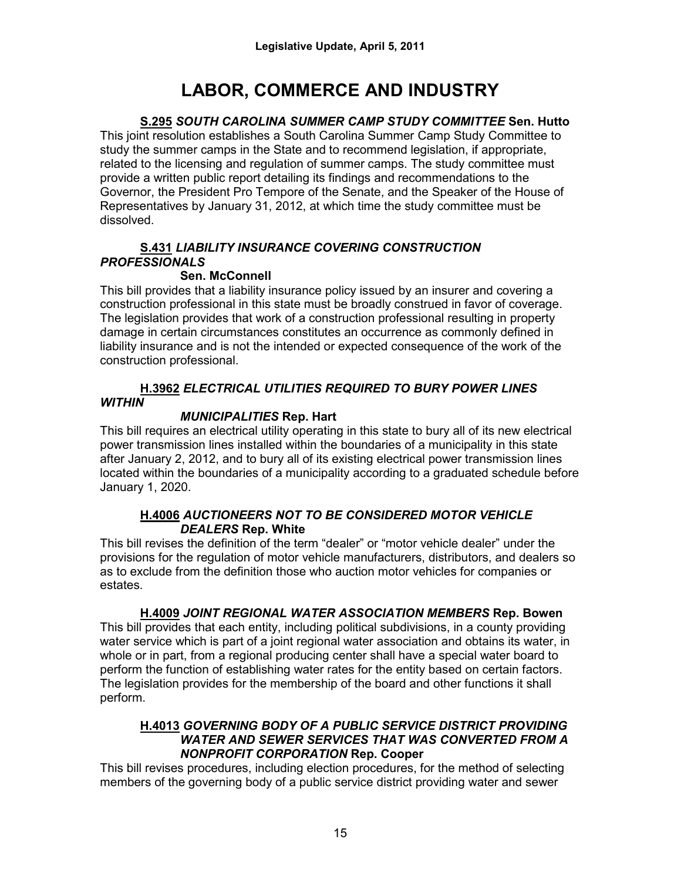# **LABOR, COMMERCE AND INDUSTRY**

# **S.295** *SOUTH CAROLINA SUMMER CAMP STUDY COMMITTEE* **Sen. Hutto**

This joint resolution establishes a South Carolina Summer Camp Study Committee to study the summer camps in the State and to recommend legislation, if appropriate, related to the licensing and regulation of summer camps. The study committee must provide a written public report detailing its findings and recommendations to the Governor, the President Pro Tempore of the Senate, and the Speaker of the House of Representatives by January 31, 2012, at which time the study committee must be dissolved.

## **S.431** *LIABILITY INSURANCE COVERING CONSTRUCTION PROFESSIONALS*

## **Sen. McConnell**

This bill provides that a liability insurance policy issued by an insurer and covering a construction professional in this state must be broadly construed in favor of coverage. The legislation provides that work of a construction professional resulting in property damage in certain circumstances constitutes an occurrence as commonly defined in liability insurance and is not the intended or expected consequence of the work of the construction professional.

# **H.3962** *ELECTRICAL UTILITIES REQUIRED TO BURY POWER LINES WITHIN*

# *MUNICIPALITIES* **Rep. Hart**

This bill requires an electrical utility operating in this state to bury all of its new electrical power transmission lines installed within the boundaries of a municipality in this state after January 2, 2012, and to bury all of its existing electrical power transmission lines located within the boundaries of a municipality according to a graduated schedule before January 1, 2020.

#### **H.4006** *AUCTIONEERS NOT TO BE CONSIDERED MOTOR VEHICLE DEALERS* **Rep. White**

This bill revises the definition of the term "dealer" or "motor vehicle dealer" under the provisions for the regulation of motor vehicle manufacturers, distributors, and dealers so as to exclude from the definition those who auction motor vehicles for companies or estates.

# **H.4009** *JOINT REGIONAL WATER ASSOCIATION MEMBERS* **Rep. Bowen**

This bill provides that each entity, including political subdivisions, in a county providing water service which is part of a joint regional water association and obtains its water, in whole or in part, from a regional producing center shall have a special water board to perform the function of establishing water rates for the entity based on certain factors. The legislation provides for the membership of the board and other functions it shall perform.

#### **H.4013** *GOVERNING BODY OF A PUBLIC SERVICE DISTRICT PROVIDING WATER AND SEWER SERVICES THAT WAS CONVERTED FROM A NONPROFIT CORPORATION* **Rep. Cooper**

This bill revises procedures, including election procedures, for the method of selecting members of the governing body of a public service district providing water and sewer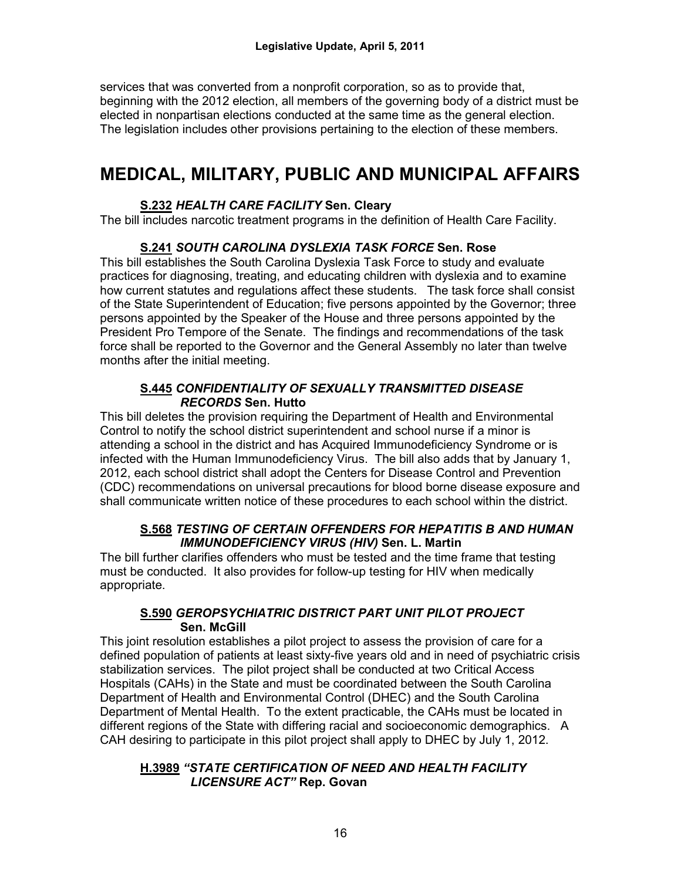services that was converted from a nonprofit corporation, so as to provide that, beginning with the 2012 election, all members of the governing body of a district must be elected in nonpartisan elections conducted at the same time as the general election. The legislation includes other provisions pertaining to the election of these members.

# **MEDICAL, MILITARY, PUBLIC AND MUNICIPAL AFFAIRS**

## **S.232** *HEALTH CARE FACILITY* **Sen. Cleary**

The bill includes narcotic treatment programs in the definition of Health Care Facility.

## **S.241** *SOUTH CAROLINA DYSLEXIA TASK FORCE* **Sen. Rose**

This bill establishes the South Carolina Dyslexia Task Force to study and evaluate practices for diagnosing, treating, and educating children with dyslexia and to examine how current statutes and regulations affect these students. The task force shall consist of the State Superintendent of Education; five persons appointed by the Governor; three persons appointed by the Speaker of the House and three persons appointed by the President Pro Tempore of the Senate. The findings and recommendations of the task force shall be reported to the Governor and the General Assembly no later than twelve months after the initial meeting.

### **S.445** *CONFIDENTIALITY OF SEXUALLY TRANSMITTED DISEASE RECORDS* **Sen. Hutto**

This bill deletes the provision requiring the Department of Health and Environmental Control to notify the school district superintendent and school nurse if a minor is attending a school in the district and has Acquired Immunodeficiency Syndrome or is infected with the Human Immunodeficiency Virus. The bill also adds that by January 1, 2012, each school district shall adopt the Centers for Disease Control and Prevention (CDC) recommendations on universal precautions for blood borne disease exposure and shall communicate written notice of these procedures to each school within the district.

## **S.568** *TESTING OF CERTAIN OFFENDERS FOR HEPATITIS B AND HUMAN IMMUNODEFICIENCY VIRUS (HIV)* **Sen. L. Martin**

The bill further clarifies offenders who must be tested and the time frame that testing must be conducted. It also provides for follow-up testing for HIV when medically appropriate.

#### **S.590** *GEROPSYCHIATRIC DISTRICT PART UNIT PILOT PROJECT*  **Sen. McGill**

This joint resolution establishes a pilot project to assess the provision of care for a defined population of patients at least sixty-five years old and in need of psychiatric crisis stabilization services. The pilot project shall be conducted at two Critical Access Hospitals (CAHs) in the State and must be coordinated between the South Carolina Department of Health and Environmental Control (DHEC) and the South Carolina Department of Mental Health. To the extent practicable, the CAHs must be located in different regions of the State with differing racial and socioeconomic demographics. A CAH desiring to participate in this pilot project shall apply to DHEC by July 1, 2012.

#### **H.3989** *"STATE CERTIFICATION OF NEED AND HEALTH FACILITY LICENSURE ACT"* **Rep. Govan**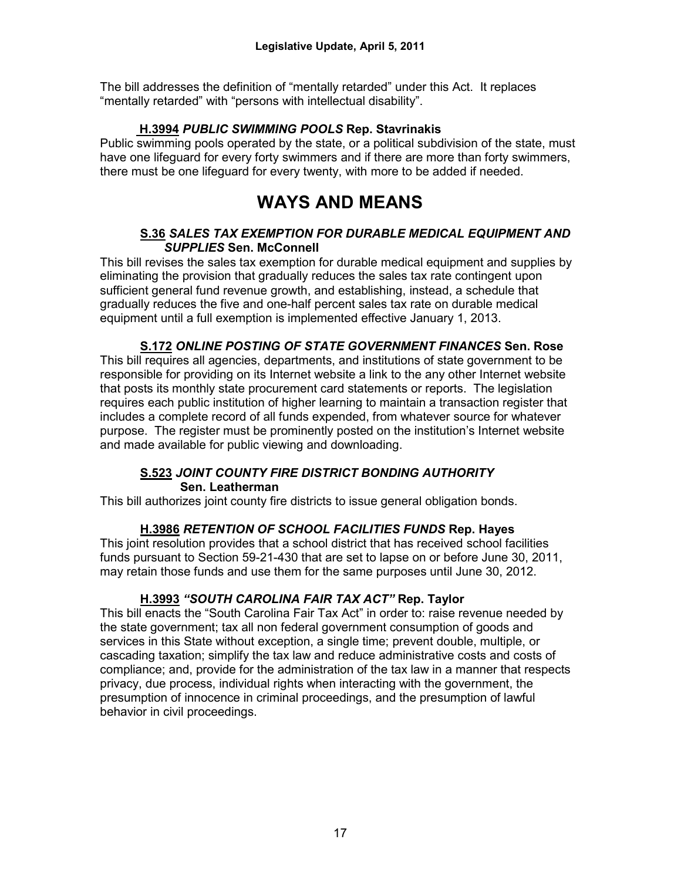The bill addresses the definition of "mentally retarded" under this Act. It replaces "mentally retarded" with "persons with intellectual disability".

#### **H.3994** *PUBLIC SWIMMING POOLS* **Rep. Stavrinakis**

Public swimming pools operated by the state, or a political subdivision of the state, must have one lifeguard for every forty swimmers and if there are more than forty swimmers, there must be one lifeguard for every twenty, with more to be added if needed.

# **WAYS AND MEANS**

#### **S.36** *SALES TAX EXEMPTION FOR DURABLE MEDICAL EQUIPMENT AND SUPPLIES* **Sen. McConnell**

This bill revises the sales tax exemption for durable medical equipment and supplies by eliminating the provision that gradually reduces the sales tax rate contingent upon sufficient general fund revenue growth, and establishing, instead, a schedule that gradually reduces the five and one-half percent sales tax rate on durable medical equipment until a full exemption is implemented effective January 1, 2013.

**S.172** *ONLINE POSTING OF STATE GOVERNMENT FINANCES* **Sen. Rose** This bill requires all agencies, departments, and institutions of state government to be responsible for providing on its Internet website a link to the any other Internet website that posts its monthly state procurement card statements or reports. The legislation requires each public institution of higher learning to maintain a transaction register that includes a complete record of all funds expended, from whatever source for whatever purpose. The register must be prominently posted on the institution's Internet website and made available for public viewing and downloading.

## **S.523** *JOINT COUNTY FIRE DISTRICT BONDING AUTHORITY* **Sen. Leatherman**

This bill authorizes joint county fire districts to issue general obligation bonds.

## **H.3986** *RETENTION OF SCHOOL FACILITIES FUNDS* **Rep. Hayes**

This joint resolution provides that a school district that has received school facilities funds pursuant to Section 59-21-430 that are set to lapse on or before June 30, 2011, may retain those funds and use them for the same purposes until June 30, 2012.

## **H.3993** *"SOUTH CAROLINA FAIR TAX ACT"* **Rep. Taylor**

This bill enacts the "South Carolina Fair Tax Act" in order to: raise revenue needed by the state government; tax all non federal government consumption of goods and services in this State without exception, a single time; prevent double, multiple, or cascading taxation; simplify the tax law and reduce administrative costs and costs of compliance; and, provide for the administration of the tax law in a manner that respects privacy, due process, individual rights when interacting with the government, the presumption of innocence in criminal proceedings, and the presumption of lawful behavior in civil proceedings.